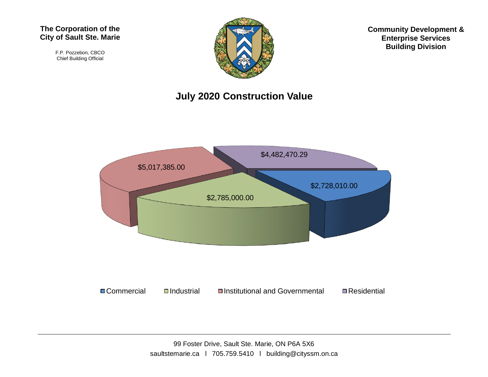#### **The Corporation of the City of Sault Ste. Marie**

F.P. Pozzebon, CBCO Chief Building Official



**Community Development & Enterprise Services Building Division**

#### **July 2020 Construction Value**

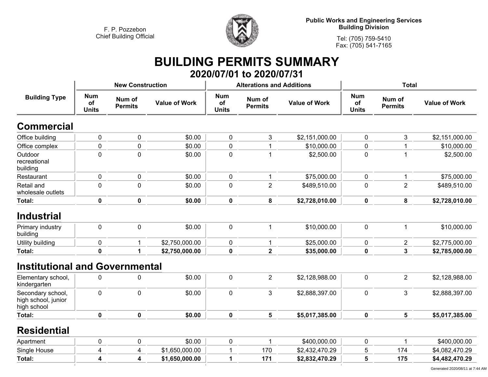

**Public Works and Engineering Services Building Division**

**Tel: (705) 759-5410 Fax: (705) 541-7165**

### **BUILDING PERMITS SUMMARY 2020/07/01 to 2020/07/31**

|                                                         |                                  | <b>New Construction</b>  |                      |                                  | <b>Alterations and Additions</b> |                      | <b>Total</b>                     |                          |                      |  |
|---------------------------------------------------------|----------------------------------|--------------------------|----------------------|----------------------------------|----------------------------------|----------------------|----------------------------------|--------------------------|----------------------|--|
| <b>Building Type</b>                                    | <b>Num</b><br>of<br><b>Units</b> | Num of<br><b>Permits</b> | <b>Value of Work</b> | <b>Num</b><br>of<br><b>Units</b> | Num of<br><b>Permits</b>         | <b>Value of Work</b> | <b>Num</b><br>of<br><b>Units</b> | Num of<br><b>Permits</b> | <b>Value of Work</b> |  |
| <b>Commercial</b>                                       |                                  |                          |                      |                                  |                                  |                      |                                  |                          |                      |  |
| Office building                                         | $\pmb{0}$                        | 0                        | \$0.00               | $\pmb{0}$                        | 3                                | \$2,151,000.00       | $\pmb{0}$                        | 3                        | \$2,151,000.00       |  |
| Office complex                                          | $\mathbf 0$                      | $\mathbf 0$              | \$0.00               | $\mathbf 0$                      | $\mathbf 1$                      | \$10,000.00          | $\mathbf 0$                      | $\mathbf{1}$             | \$10,000.00          |  |
| Outdoor<br>recreational<br>building                     | $\mathbf 0$                      | 0                        | \$0.00               | $\mathbf 0$                      | 1                                | \$2,500.00           | $\mathbf 0$                      | 1                        | \$2,500.00           |  |
| Restaurant                                              | $\mathbf 0$                      | 0                        | \$0.00               | $\mathbf 0$                      | 1                                | \$75,000.00          | $\mathbf 0$                      | $\mathbf{1}$             | \$75,000.00          |  |
| Retail and<br>wholesale outlets                         | $\mathbf 0$                      | 0                        | \$0.00               | $\pmb{0}$                        | $\overline{2}$                   | \$489,510.00         | $\mathbf 0$                      | $\overline{2}$           | \$489,510.00         |  |
| Total:                                                  | $\pmb{0}$                        | $\mathbf 0$              | \$0.00               | $\pmb{0}$                        | 8                                | \$2,728,010.00       | $\pmb{0}$                        | 8                        | \$2,728,010.00       |  |
| <b>Industrial</b>                                       |                                  |                          |                      |                                  |                                  |                      |                                  |                          |                      |  |
| Primary industry<br>building                            | $\mathbf 0$                      | $\mathbf 0$              | \$0.00               | $\mathbf 0$                      | 1                                | \$10,000.00          | $\mathbf 0$                      | $\mathbf{1}$             | \$10,000.00          |  |
| Utility building                                        | $\pmb{0}$                        | $\mathbf 1$              | \$2,750,000.00       | $\pmb{0}$                        | $\mathbf{1}$                     | \$25,000.00          | $\pmb{0}$                        | $\overline{2}$           | \$2,775,000.00       |  |
| Total:                                                  | 0                                | $\mathbf 1$              | \$2,750,000.00       | $\mathbf 0$                      | $\overline{2}$                   | \$35,000.00          | $\mathbf 0$                      | $\overline{3}$           | \$2,785,000.00       |  |
| <b>Institutional and Governmental</b>                   |                                  |                          |                      |                                  |                                  |                      |                                  |                          |                      |  |
| Elementary school,<br>kindergarten                      | $\pmb{0}$                        | 0                        | \$0.00               | $\pmb{0}$                        | $\overline{2}$                   | \$2,128,988.00       | $\mathbf 0$                      | $\overline{2}$           | \$2,128,988.00       |  |
| Secondary school,<br>high school, junior<br>high school | $\mathbf 0$                      | $\mathbf 0$              | \$0.00               | $\mathbf 0$                      | 3                                | \$2,888,397.00       | $\mathbf 0$                      | 3                        | \$2,888,397.00       |  |
| Total:                                                  | $\mathbf 0$                      | $\mathbf 0$              | \$0.00               | $\mathbf 0$                      | 5                                | \$5,017,385.00       | $\mathbf 0$                      | 5                        | \$5,017,385.00       |  |
| <b>Residential</b>                                      |                                  |                          |                      |                                  |                                  |                      |                                  |                          |                      |  |
| Apartment                                               | 0                                | 0                        | \$0.00               | $\pmb{0}$                        | $\mathbf 1$                      | \$400,000.00         | $\mathbf 0$                      | $\mathbf{1}$             | \$400,000.00         |  |
| Single House                                            | 4                                | 4                        | \$1,650,000.00       | 1                                | 170                              | \$2,432,470.29       | 5                                | 174                      | \$4,082,470.29       |  |
| Total:                                                  | 4                                | 4                        | \$1,650,000.00       | 1                                | 171                              | \$2,832,470.29       | 5                                | 175                      | \$4,482,470.29       |  |
|                                                         |                                  |                          |                      |                                  |                                  |                      |                                  |                          |                      |  |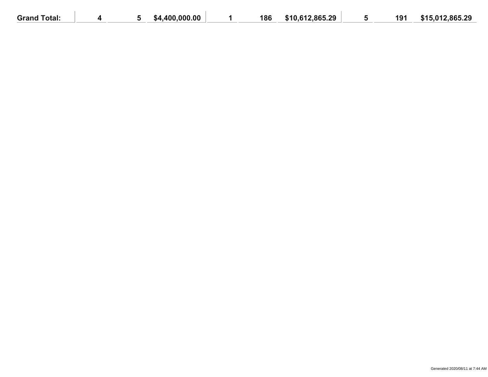| <b>Grand Total:</b> |  | .400.000.00<br>%4 | 186 | \$10,612,865.29 | 191 | \$15,012,865.29 |
|---------------------|--|-------------------|-----|-----------------|-----|-----------------|
|                     |  |                   |     |                 |     |                 |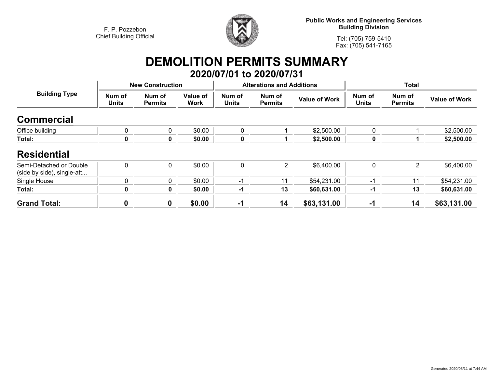

**Public Works and Engineering Services Building Division**

**Tel: (705) 759-5410Fax: (705) 541-7165**

# **DEMOLITION PERMITS SUMMARY**

|                                                       |                         |                          |                  |                        | 2020/07/01 to 2020/07/31         |                      |                        |                          |                      |
|-------------------------------------------------------|-------------------------|--------------------------|------------------|------------------------|----------------------------------|----------------------|------------------------|--------------------------|----------------------|
|                                                       | <b>New Construction</b> |                          |                  |                        | <b>Alterations and Additions</b> |                      | <b>Total</b>           |                          |                      |
| <b>Building Type</b>                                  | Num of<br><b>Units</b>  | Num of<br><b>Permits</b> | Value of<br>Work | Num of<br><b>Units</b> | Num of<br><b>Permits</b>         | <b>Value of Work</b> | Num of<br><b>Units</b> | Num of<br><b>Permits</b> | <b>Value of Work</b> |
| <b>Commercial</b>                                     |                         |                          |                  |                        |                                  |                      |                        |                          |                      |
| Office building                                       | $\mathbf{0}$            | $\overline{0}$           | \$0.00           | 0                      |                                  | \$2,500.00           | $\Omega$               |                          | \$2,500.00           |
| Total:                                                | $\mathbf 0$             | 0                        | \$0.00           | 0                      |                                  | \$2,500.00           | 0                      |                          | \$2,500.00           |
| <b>Residential</b>                                    |                         |                          |                  |                        |                                  |                      |                        |                          |                      |
| Semi-Detached or Double<br>(side by side), single-att | $\mathbf{0}$            | $\mathbf 0$              | \$0.00           | 0                      | $\overline{2}$                   | \$6,400.00           | $\mathbf{0}$           | $\overline{2}$           | \$6,400.00           |
| Single House                                          | 0                       | $\mathbf 0$              | \$0.00           | $-1$                   | 11                               | \$54,231.00          | -1                     | 11                       | \$54,231.00          |
| Total:                                                | $\mathbf 0$             | $\mathbf{0}$             | \$0.00           | $-1$                   | 13                               | \$60,631.00          | -1                     | 13                       | \$60,631.00          |
| <b>Grand Total:</b>                                   | 0                       | $\bf{0}$                 | \$0.00           | $-1$                   | 14                               | \$63,131.00          | $-1$                   | 14                       | \$63,131.00          |